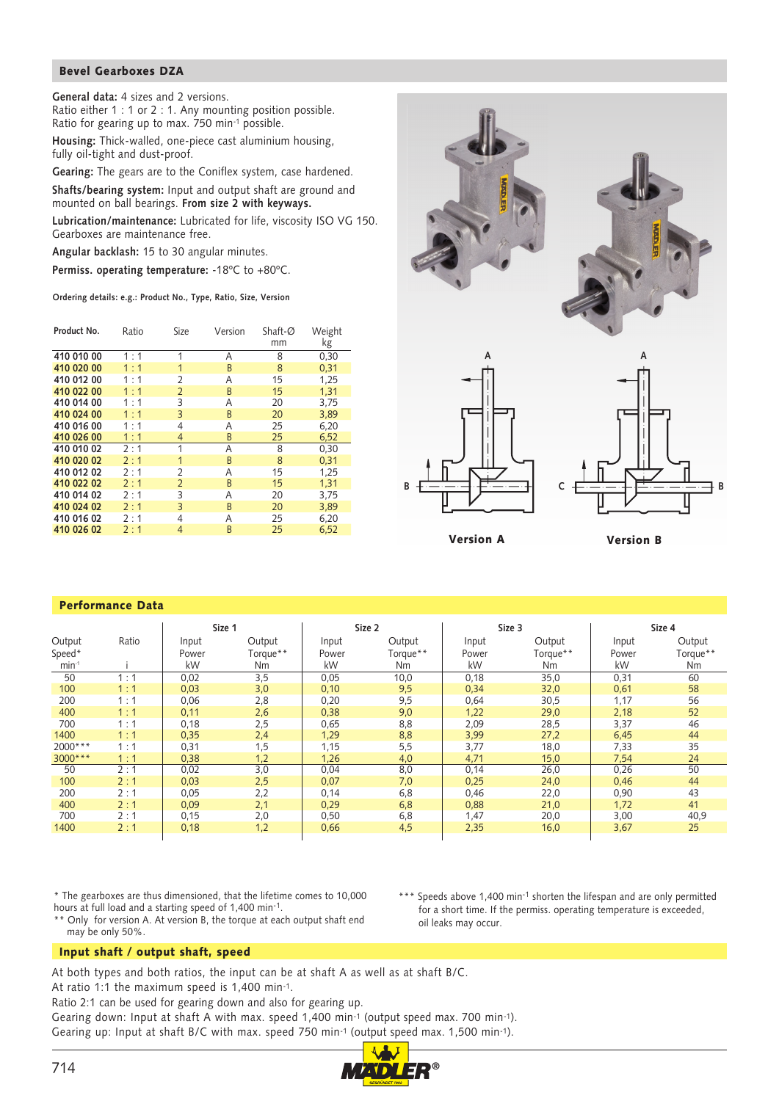## Bevel Gearboxes DZA

**General data:** 4 sizes and 2 versions. Ratio either 1 : 1 or 2 : 1. Any mounting position possible.

Ratio for gearing up to max. 750 min-1 possible.

**Housing:** Thick-walled, one-piece cast aluminium housing, fully oil-tight and dust-proof.

**Gearing:** The gears are to the Coniflex system, case hardened.

**Shafts/bearing system:** Input and output shaft are ground and mounted on ball bearings. **From size 2 with keyways.**

**Lubrication/maintenance:** Lubricated for life, viscosity ISO VG 150. Gearboxes are maintenance free.

**Angular backlash:** 15 to 30 angular minutes.

**Permiss. operating temperature:** -18ºC to +80ºC.

**Ordering details: e.g.: Product No., Type, Ratio, Size, Version**

| Product No. | Ratio | Size           | Shaft-Ø<br>Version |    | Weight |
|-------------|-------|----------------|--------------------|----|--------|
|             |       |                |                    | mm | kg     |
| 410 010 00  | 1:1   | 1              | Α                  | 8  | 0,30   |
| 410 020 00  | 1:1   | $\mathbf{1}$   | B                  | 8  | 0,31   |
| 410 012 00  | 1:1   | $\overline{2}$ | Α                  | 15 | 1,25   |
| 410 022 00  | 1:1   | $\overline{2}$ | B                  | 15 | 1.31   |
| 410 014 00  | 1:1   | 3              | Α                  | 20 | 3,75   |
| 410 024 00  | 1:1   | 3              | B                  | 20 | 3,89   |
| 410 016 00  | 1:1   | 4              | Α                  | 25 | 6,20   |
| 410 026 00  | 1:1   | 4              | B                  | 25 | 6,52   |
| 410 010 02  | 2:1   | 1              | Α                  | 8  | 0,30   |
| 410 020 02  | 2:1   | $\mathbf{1}$   | B                  | 8  | 0,31   |
| 410 012 02  | 2:1   | $\overline{2}$ | Α                  | 15 | 1,25   |
| 410 022 02  | 2:1   | $\overline{2}$ | B                  | 15 | 1,31   |
| 410 014 02  | 2:1   | 3              | Α                  | 20 | 3,75   |
| 410 024 02  | 2:1   | 3              | <sub>R</sub>       | 20 | 3,89   |
| 410 016 02  | 2:1   | 4              | A                  | 25 | 6,20   |
| 410 026 02  | 2:1   | $\overline{4}$ | B                  | 25 | 6,52   |







Version A Version B

## 50 1 : 1 | 0,02 3,5 | 0,05 10,0 | 0,18 35,0 | 0,31 60 100 1 : 1 | 0,03 3,0 | 0,10 9,5 | 0,34 32,0 | 0,61 58 200 1 : 1 0,06 2,8 0,20 9,5 0,64 30,5 1,17 56 400 1 :1 | 0,11 2,6 | 0,38 9,0 | 1,22 29,0 | 2,18 52 700 1 : 1 0,18 2,5 0,65 8,8 2,09 28,5 3,37 46 1400 1 :1 | 0,35 2,4 | 1,29 8,8 | 3,99 27,2 | 6,45 44 2000\*\*\* 1:1 | 0,31 1,5 | 1,15 5,5 | 3,77 18,0 | 7,33 35 3000\*\*\* 1 :1 | 0,38 1,2 | 1,26 4,0 | 4,71 15,0 | 7,54 24 50 2 : 1 0,02 3,0 0,04 8,0 0,14 26,0 0,26 50 100 2 : 1 0,03 2,5 0,07 7,0 0,25 24,0 0,46 44 200 2 : 1 0,05 2,2 0,14 6,8 0,46 22,0 0,90 43 400 2 : 1 0,09 2,1 0,29 6,8 0,88 21,0 1,72 41 700 2 : 1 0,15 2,0 0,50 6,8 1,47 20,0 3,00 40,9 1400 2 : 1 | 0,18 1,2 | 0,66 4,5 | 2,35 16,0 | 3,67 25 **Size 1** Size 2 Size 2 Size 3 Size 4 Size 4 Output Ratio Input Output Input Output Input Output Input Output Speed\* Power Torque\*\* Power Torque\*\* Power Torque\*\* Power Torque\*\* min-1 i kW Nm kW Nm kW Nm kW Nm

\* The gearboxes are thus dimensioned, that the lifetime comes to 10,000 hours at full load and a starting speed of 1,400 min-1.

\*\* Only for version A. At version B, the torque at each output shaft end may be only 50%.

\*\*\* Speeds above 1,400 min<sup>-1</sup> shorten the lifespan and are only permitted for a short time. If the permiss. operating temperature is exceeded, oil leaks may occur.

Input shaft / output shaft, speed

Performance Data

At both types and both ratios, the input can be at shaft A as well as at shaft B/C.

At ratio 1:1 the maximum speed is 1,400 min-1.

Ratio 2:1 can be used for gearing down and also for gearing up.

Gearing down: Input at shaft A with max. speed 1,400 min-1 (output speed max. 700 min-1). Gearing up: Input at shaft B/C with max. speed 750 min-1 (output speed max. 1,500 min-1).